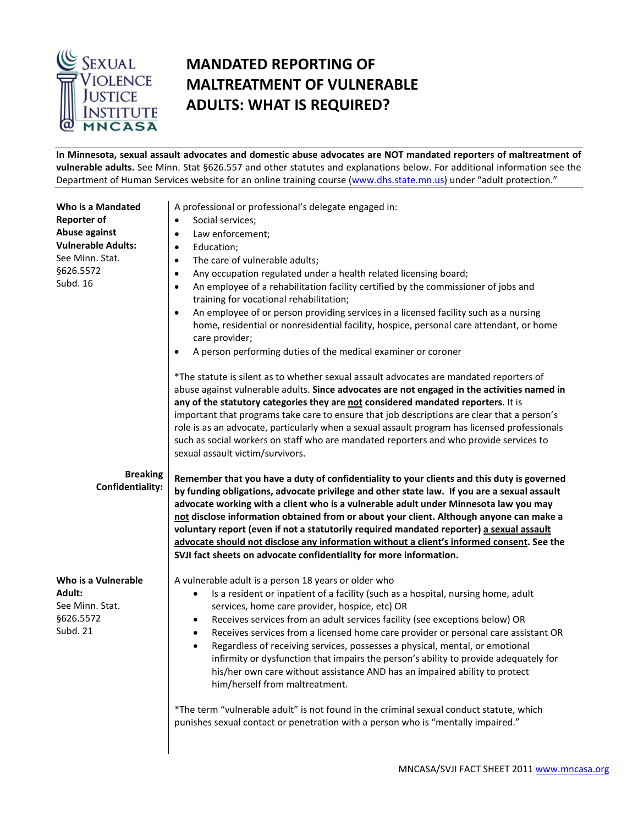

## **MANDATED REPORTING OF MALTREATMENT OF VULNERABLE ADULTS: WHAT IS REQUIRED?**

**In Minnesota, sexual assault advocates and domestic abuse advocates are NOT mandated reporters of maltreatment of vulnerable adults.** See Minn. Stat §626.557 and other statutes and explanations below. For additional information see the Department of Human Services website for an online training course [\(www.dhs.state.mn.us\)](http://www.dhs.state.mn.us/) under "adult protection."

| Who is a Mandated<br><b>Reporter of</b><br>Abuse against<br><b>Vulnerable Adults:</b><br>See Minn. Stat.<br>§626.5572<br>Subd. 16 | A professional or professional's delegate engaged in:<br>Social services;<br>$\bullet$<br>Law enforcement;<br>$\bullet$<br>Education;<br>$\bullet$<br>The care of vulnerable adults;<br>$\bullet$<br>Any occupation regulated under a health related licensing board;<br>$\bullet$<br>An employee of a rehabilitation facility certified by the commissioner of jobs and<br>$\bullet$<br>training for vocational rehabilitation;<br>An employee of or person providing services in a licensed facility such as a nursing<br>$\bullet$<br>home, residential or nonresidential facility, hospice, personal care attendant, or home<br>care provider;<br>A person performing duties of the medical examiner or coroner<br>$\bullet$                                                                                                                                                    |
|-----------------------------------------------------------------------------------------------------------------------------------|-------------------------------------------------------------------------------------------------------------------------------------------------------------------------------------------------------------------------------------------------------------------------------------------------------------------------------------------------------------------------------------------------------------------------------------------------------------------------------------------------------------------------------------------------------------------------------------------------------------------------------------------------------------------------------------------------------------------------------------------------------------------------------------------------------------------------------------------------------------------------------------|
|                                                                                                                                   | *The statute is silent as to whether sexual assault advocates are mandated reporters of<br>abuse against vulnerable adults. Since advocates are not engaged in the activities named in<br>any of the statutory categories they are not considered mandated reporters. It is<br>important that programs take care to ensure that job descriptions are clear that a person's<br>role is as an advocate, particularly when a sexual assault program has licensed professionals<br>such as social workers on staff who are mandated reporters and who provide services to<br>sexual assault victim/survivors.                                                                                                                                                                                                                                                                           |
| <b>Breaking</b><br>Confidentiality:                                                                                               | Remember that you have a duty of confidentiality to your clients and this duty is governed<br>by funding obligations, advocate privilege and other state law. If you are a sexual assault<br>advocate working with a client who is a vulnerable adult under Minnesota law you may<br>not disclose information obtained from or about your client. Although anyone can make a<br>voluntary report (even if not a statutorily required mandated reporter) a sexual assault<br>advocate should not disclose any information without a client's informed consent. See the<br>SVJI fact sheets on advocate confidentiality for more information.                                                                                                                                                                                                                                         |
| Who is a Vulnerable<br><b>Adult:</b><br>See Minn. Stat.<br>\$626.5572<br>Subd. 21                                                 | A vulnerable adult is a person 18 years or older who<br>Is a resident or inpatient of a facility (such as a hospital, nursing home, adult<br>$\bullet$<br>services, home care provider, hospice, etc) OR<br>Receives services from an adult services facility (see exceptions below) OR<br>٠<br>Receives services from a licensed home care provider or personal care assistant OR<br>$\bullet$<br>Regardless of receiving services, possesses a physical, mental, or emotional<br>$\bullet$<br>infirmity or dysfunction that impairs the person's ability to provide adequately for<br>his/her own care without assistance AND has an impaired ability to protect<br>him/herself from maltreatment.<br>*The term "vulnerable adult" is not found in the criminal sexual conduct statute, which<br>punishes sexual contact or penetration with a person who is "mentally impaired." |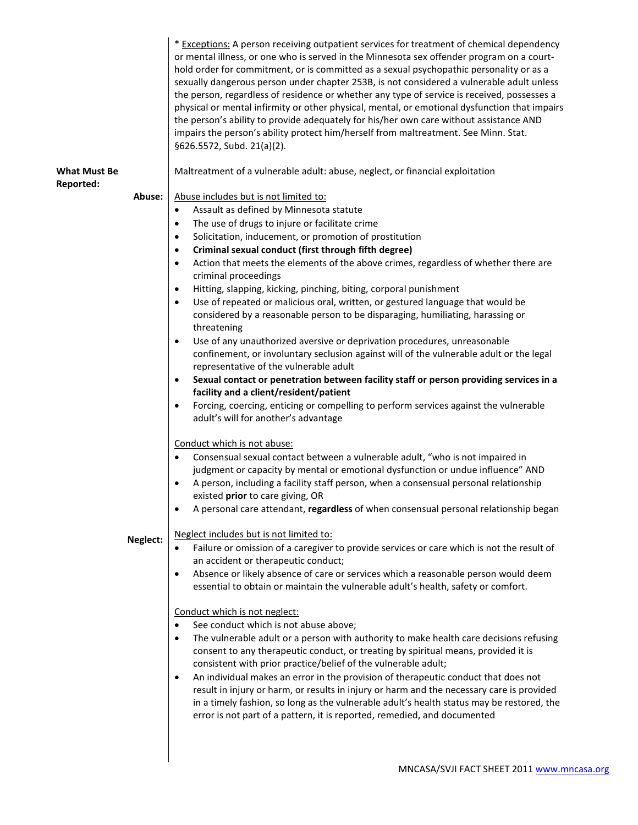|                                         |          | * Exceptions: A person receiving outpatient services for treatment of chemical dependency<br>or mental illness, or one who is served in the Minnesota sex offender program on a court-<br>hold order for commitment, or is committed as a sexual psychopathic personality or as a<br>sexually dangerous person under chapter 253B, is not considered a vulnerable adult unless<br>the person, regardless of residence or whether any type of service is received, possesses a<br>physical or mental infirmity or other physical, mental, or emotional dysfunction that impairs<br>the person's ability to provide adequately for his/her own care without assistance AND<br>impairs the person's ability protect him/herself from maltreatment. See Minn. Stat.<br>§626.5572, Subd. 21(a)(2). |
|-----------------------------------------|----------|-----------------------------------------------------------------------------------------------------------------------------------------------------------------------------------------------------------------------------------------------------------------------------------------------------------------------------------------------------------------------------------------------------------------------------------------------------------------------------------------------------------------------------------------------------------------------------------------------------------------------------------------------------------------------------------------------------------------------------------------------------------------------------------------------|
| <b>What Must Be</b><br><b>Reported:</b> |          | Maltreatment of a vulnerable adult: abuse, neglect, or financial exploitation                                                                                                                                                                                                                                                                                                                                                                                                                                                                                                                                                                                                                                                                                                                 |
|                                         | Abuse:   | Abuse includes but is not limited to:                                                                                                                                                                                                                                                                                                                                                                                                                                                                                                                                                                                                                                                                                                                                                         |
|                                         |          | Assault as defined by Minnesota statute<br>$\bullet$                                                                                                                                                                                                                                                                                                                                                                                                                                                                                                                                                                                                                                                                                                                                          |
|                                         |          | The use of drugs to injure or facilitate crime<br>$\bullet$                                                                                                                                                                                                                                                                                                                                                                                                                                                                                                                                                                                                                                                                                                                                   |
|                                         |          | Solicitation, inducement, or promotion of prostitution<br>$\bullet$                                                                                                                                                                                                                                                                                                                                                                                                                                                                                                                                                                                                                                                                                                                           |
|                                         |          | Criminal sexual conduct (first through fifth degree)<br>٠                                                                                                                                                                                                                                                                                                                                                                                                                                                                                                                                                                                                                                                                                                                                     |
|                                         |          | Action that meets the elements of the above crimes, regardless of whether there are<br>$\bullet$<br>criminal proceedings                                                                                                                                                                                                                                                                                                                                                                                                                                                                                                                                                                                                                                                                      |
|                                         |          | Hitting, slapping, kicking, pinching, biting, corporal punishment<br>٠                                                                                                                                                                                                                                                                                                                                                                                                                                                                                                                                                                                                                                                                                                                        |
|                                         |          | Use of repeated or malicious oral, written, or gestured language that would be<br>$\bullet$<br>considered by a reasonable person to be disparaging, humiliating, harassing or<br>threatening                                                                                                                                                                                                                                                                                                                                                                                                                                                                                                                                                                                                  |
|                                         |          | Use of any unauthorized aversive or deprivation procedures, unreasonable<br>$\bullet$<br>confinement, or involuntary seclusion against will of the vulnerable adult or the legal<br>representative of the vulnerable adult                                                                                                                                                                                                                                                                                                                                                                                                                                                                                                                                                                    |
|                                         |          | Sexual contact or penetration between facility staff or person providing services in a<br>$\bullet$<br>facility and a client/resident/patient                                                                                                                                                                                                                                                                                                                                                                                                                                                                                                                                                                                                                                                 |
|                                         |          | Forcing, coercing, enticing or compelling to perform services against the vulnerable<br>$\bullet$<br>adult's will for another's advantage                                                                                                                                                                                                                                                                                                                                                                                                                                                                                                                                                                                                                                                     |
|                                         |          | Conduct which is not abuse:                                                                                                                                                                                                                                                                                                                                                                                                                                                                                                                                                                                                                                                                                                                                                                   |
|                                         |          | Consensual sexual contact between a vulnerable adult, "who is not impaired in<br>$\bullet$                                                                                                                                                                                                                                                                                                                                                                                                                                                                                                                                                                                                                                                                                                    |
|                                         |          | judgment or capacity by mental or emotional dysfunction or undue influence" AND                                                                                                                                                                                                                                                                                                                                                                                                                                                                                                                                                                                                                                                                                                               |
|                                         |          | A person, including a facility staff person, when a consensual personal relationship<br>existed prior to care giving, OR                                                                                                                                                                                                                                                                                                                                                                                                                                                                                                                                                                                                                                                                      |
|                                         |          | A personal care attendant, regardless of when consensual personal relationship began                                                                                                                                                                                                                                                                                                                                                                                                                                                                                                                                                                                                                                                                                                          |
|                                         | Neglect: | Neglect includes but is not limited to:                                                                                                                                                                                                                                                                                                                                                                                                                                                                                                                                                                                                                                                                                                                                                       |
|                                         |          | Failure or omission of a caregiver to provide services or care which is not the result of                                                                                                                                                                                                                                                                                                                                                                                                                                                                                                                                                                                                                                                                                                     |
|                                         |          | an accident or therapeutic conduct;                                                                                                                                                                                                                                                                                                                                                                                                                                                                                                                                                                                                                                                                                                                                                           |
|                                         |          | Absence or likely absence of care or services which a reasonable person would deem<br>$\bullet$<br>essential to obtain or maintain the vulnerable adult's health, safety or comfort.                                                                                                                                                                                                                                                                                                                                                                                                                                                                                                                                                                                                          |
|                                         |          | Conduct which is not neglect:                                                                                                                                                                                                                                                                                                                                                                                                                                                                                                                                                                                                                                                                                                                                                                 |
|                                         |          | See conduct which is not abuse above;<br>٠                                                                                                                                                                                                                                                                                                                                                                                                                                                                                                                                                                                                                                                                                                                                                    |
|                                         |          | The vulnerable adult or a person with authority to make health care decisions refusing<br>٠<br>consent to any therapeutic conduct, or treating by spiritual means, provided it is<br>consistent with prior practice/belief of the vulnerable adult;                                                                                                                                                                                                                                                                                                                                                                                                                                                                                                                                           |
|                                         |          | An individual makes an error in the provision of therapeutic conduct that does not<br>٠<br>result in injury or harm, or results in injury or harm and the necessary care is provided<br>in a timely fashion, so long as the vulnerable adult's health status may be restored, the<br>error is not part of a pattern, it is reported, remedied, and documented                                                                                                                                                                                                                                                                                                                                                                                                                                 |
|                                         |          |                                                                                                                                                                                                                                                                                                                                                                                                                                                                                                                                                                                                                                                                                                                                                                                               |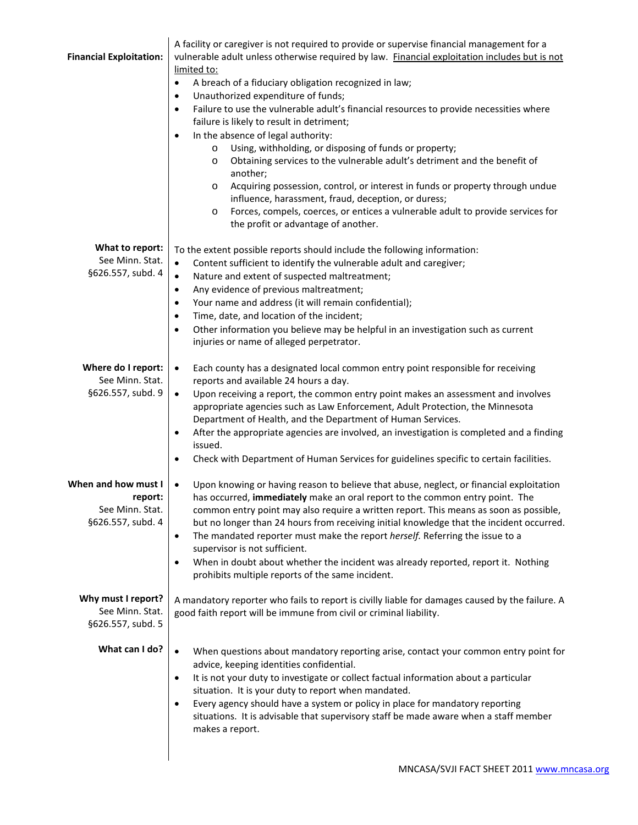|                                | A facility or caregiver is not required to provide or supervise financial management for a                                                       |
|--------------------------------|--------------------------------------------------------------------------------------------------------------------------------------------------|
| <b>Financial Exploitation:</b> | vulnerable adult unless otherwise required by law. Financial exploitation includes but is not                                                    |
|                                | limited to:                                                                                                                                      |
|                                | A breach of a fiduciary obligation recognized in law;<br>٠<br>Unauthorized expenditure of funds;                                                 |
|                                | ٠<br>Failure to use the vulnerable adult's financial resources to provide necessities where<br>$\bullet$                                         |
|                                | failure is likely to result in detriment;                                                                                                        |
|                                | In the absence of legal authority:<br>$\bullet$                                                                                                  |
|                                | Using, withholding, or disposing of funds or property;<br>$\circ$                                                                                |
|                                | Obtaining services to the vulnerable adult's detriment and the benefit of<br>$\circ$                                                             |
|                                | another;                                                                                                                                         |
|                                | Acquiring possession, control, or interest in funds or property through undue<br>$\circ$                                                         |
|                                | influence, harassment, fraud, deception, or duress;                                                                                              |
|                                | Forces, compels, coerces, or entices a vulnerable adult to provide services for<br>$\circ$                                                       |
|                                | the profit or advantage of another.                                                                                                              |
| What to report:                | To the extent possible reports should include the following information:                                                                         |
| See Minn. Stat.                | Content sufficient to identify the vulnerable adult and caregiver;<br>$\bullet$                                                                  |
| §626.557, subd. 4              | Nature and extent of suspected maltreatment;<br>$\bullet$                                                                                        |
|                                | Any evidence of previous maltreatment;<br>$\bullet$                                                                                              |
|                                | Your name and address (it will remain confidential);<br>٠                                                                                        |
|                                | Time, date, and location of the incident;<br>$\bullet$                                                                                           |
|                                | Other information you believe may be helpful in an investigation such as current<br>$\bullet$                                                    |
|                                | injuries or name of alleged perpetrator.                                                                                                         |
| Where do I report:             | Each county has a designated local common entry point responsible for receiving<br>$\bullet$                                                     |
| See Minn. Stat.                | reports and available 24 hours a day.                                                                                                            |
| §626.557, subd. 9              | Upon receiving a report, the common entry point makes an assessment and involves<br>$\bullet$                                                    |
|                                | appropriate agencies such as Law Enforcement, Adult Protection, the Minnesota                                                                    |
|                                | Department of Health, and the Department of Human Services.                                                                                      |
|                                | After the appropriate agencies are involved, an investigation is completed and a finding<br>٠                                                    |
|                                | issued.                                                                                                                                          |
|                                | Check with Department of Human Services for guidelines specific to certain facilities.<br>٠                                                      |
| When and how must I            | Upon knowing or having reason to believe that abuse, neglect, or financial exploitation<br>$\bullet$                                             |
| report:                        | has occurred, immediately make an oral report to the common entry point. The                                                                     |
| See Minn. Stat.                | common entry point may also require a written report. This means as soon as possible,                                                            |
| §626.557, subd. 4              | but no longer than 24 hours from receiving initial knowledge that the incident occurred.                                                         |
|                                | The mandated reporter must make the report herself. Referring the issue to a<br>$\bullet$                                                        |
|                                | supervisor is not sufficient.                                                                                                                    |
|                                | When in doubt about whether the incident was already reported, report it. Nothing<br>٠<br>prohibits multiple reports of the same incident.       |
|                                |                                                                                                                                                  |
| Why must I report?             | A mandatory reporter who fails to report is civilly liable for damages caused by the failure. A                                                  |
| See Minn. Stat.                | good faith report will be immune from civil or criminal liability.                                                                               |
| §626.557, subd. 5              |                                                                                                                                                  |
|                                |                                                                                                                                                  |
| What can I do?                 | When questions about mandatory reporting arise, contact your common entry point for<br>$\bullet$                                                 |
|                                | advice, keeping identities confidential.                                                                                                         |
|                                | It is not your duty to investigate or collect factual information about a particular<br>٠                                                        |
|                                | situation. It is your duty to report when mandated.<br>Every agency should have a system or policy in place for mandatory reporting<br>$\bullet$ |
|                                | situations. It is advisable that supervisory staff be made aware when a staff member                                                             |
|                                | makes a report.                                                                                                                                  |
|                                |                                                                                                                                                  |
|                                |                                                                                                                                                  |
|                                |                                                                                                                                                  |